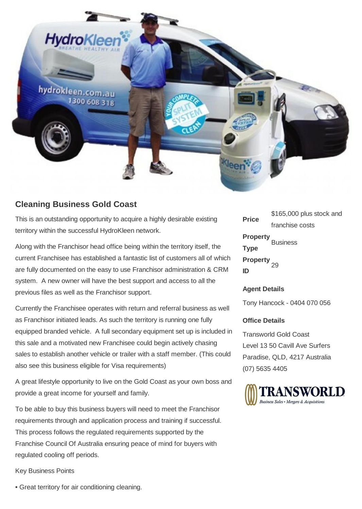

## **Cleaning Business Gold Coast**

This is an outstanding opportunity to acquire a highly desirable existing territory within the successful HydroKleen network.

Along with the Franchisor head office being within the territory itself, the current Franchisee has established a fantastic list of customers all of which are fully documented on the easy to use Franchisor administration & CRM system. A new owner will have the best support and access to all the previous files as well as the Franchisor support.

Currently the Franchisee operates with return and referral business as well as Franchisor initiated leads. As such the territory is running one fully equipped branded vehicle. A full secondary equipment set up is included in this sale and a motivated new Franchisee could begin actively chasing sales to establish another vehicle or trailer with a staff member. (This could also see this business eligible for Visa requirements)

A great lifestyle opportunity to live on the Gold Coast as your own boss and provide a great income for yourself and family.

To be able to buy this business buyers will need to meet the Franchisor requirements through and application process and training if successful. This process follows the regulated requirements supported by the Franchise Council Of Australia ensuring peace of mind for buyers with regulated cooling off periods.

Key Business Points

**Price** \$165,000 plus stock and franchise costs **Property Type** Business **Property ID** 29

## **Agent Details**

Tony Hancock - 0404 070 056

## **Office Details**

Transworld Gold Coast Level 13 50 Cavill Ave Surfers Paradise, QLD, 4217 Australia (07) 5635 4405



• Great territory for air conditioning cleaning.